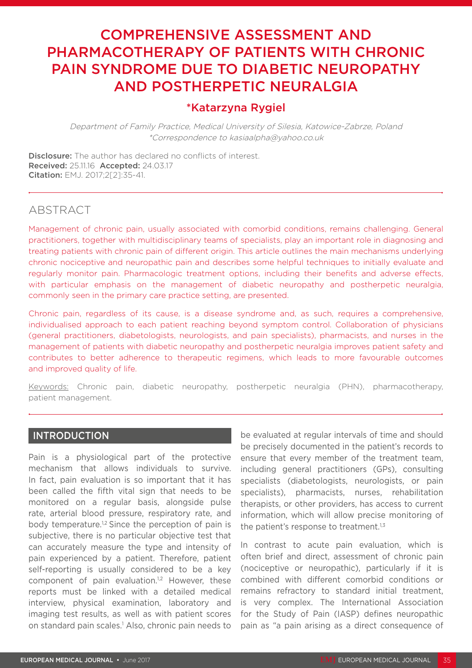# COMPREHENSIVE ASSESSMENT AND PHARMACOTHERAPY OF PATIENTS WITH CHRONIC PAIN SYNDROME DUE TO DIABETIC NEUROPATHY AND POSTHERPETIC NEURALGIA

# \*Katarzyna Rygiel

Department of Family Practice, Medical University of Silesia, Katowice-Zabrze, Poland \*Correspondence to kasiaalpha@yahoo.co.uk

**Disclosure:** The author has declared no conflicts of interest. Received: 25.11.16 Accepted: 24.03.17 Citation: EMJ. 2017;2[2]:35-41.

# ABSTRACT

Management of chronic pain, usually associated with comorbid conditions, remains challenging. General practitioners, together with multidisciplinary teams of specialists, play an important role in diagnosing and treating patients with chronic pain of different origin. This article outlines the main mechanisms underlying chronic nociceptive and neuropathic pain and describes some helpful techniques to initially evaluate and regularly monitor pain. Pharmacologic treatment options, including their benefits and adverse effects, with particular emphasis on the management of diabetic neuropathy and postherpetic neuralgia, commonly seen in the primary care practice setting, are presented.

Chronic pain, regardless of its cause, is a disease syndrome and, as such, requires a comprehensive, individualised approach to each patient reaching beyond symptom control. Collaboration of physicians (general practitioners, diabetologists, neurologists, and pain specialists), pharmacists, and nurses in the management of patients with diabetic neuropathy and postherpetic neuralgia improves patient safety and contributes to better adherence to therapeutic regimens, which leads to more favourable outcomes and improved quality of life.

Keywords: Chronic pain, diabetic neuropathy, postherpetic neuralgia (PHN), pharmacotherapy, patient management.

### INTRODUCTION

Pain is a physiological part of the protective mechanism that allows individuals to survive. In fact, pain evaluation is so important that it has been called the fifth vital sign that needs to be monitored on a regular basis, alongside pulse rate, arterial blood pressure, respiratory rate, and body temperature.<sup>1,2</sup> Since the perception of pain is subjective, there is no particular objective test that can accurately measure the type and intensity of pain experienced by a patient. Therefore, patient self-reporting is usually considered to be a key component of pain evaluation.<sup>1,2</sup> However, these reports must be linked with a detailed medical interview, physical examination, laboratory and imaging test results, as well as with patient scores on standard pain scales.<sup>1</sup> Also, chronic pain needs to be evaluated at regular intervals of time and should be precisely documented in the patient's records to ensure that every member of the treatment team, including general practitioners (GPs), consulting specialists (diabetologists, neurologists, or pain specialists), pharmacists, nurses, rehabilitation therapists, or other providers, has access to current information, which will allow precise monitoring of the patient's response to treatment.<sup>1,3</sup>

In contrast to acute pain evaluation, which is often brief and direct, assessment of chronic pain (nociceptive or neuropathic), particularly if it is combined with different comorbid conditions or remains refractory to standard initial treatment, is very complex. The International Association for the Study of Pain (IASP) defines neuropathic pain as "a pain arising as a direct consequence of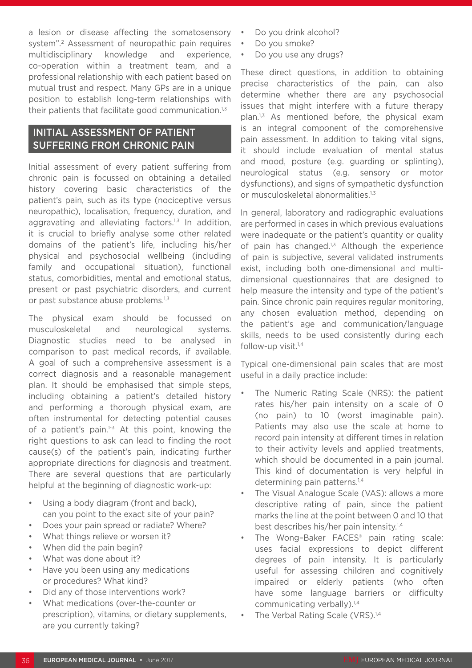a lesion or disease affecting the somatosensory system".2 Assessment of neuropathic pain requires multidisciplinary knowledge and experience, co-operation within a treatment team, and a professional relationship with each patient based on mutual trust and respect. Many GPs are in a unique position to establish long-term relationships with their patients that facilitate good communication.<sup>1,3</sup>

# INITIAL ASSESSMENT OF PATIENT SUFFERING FROM CHRONIC PAIN

Initial assessment of every patient suffering from chronic pain is focussed on obtaining a detailed history covering basic characteristics of the patient's pain, such as its type (nociceptive versus neuropathic), localisation, frequency, duration, and aggravating and alleviating factors. $1,3$  In addition, it is crucial to briefly analyse some other related domains of the patient's life, including his/her physical and psychosocial wellbeing (including family and occupational situation), functional status, comorbidities, mental and emotional status, present or past psychiatric disorders, and current or past substance abuse problems.<sup>1,3</sup>

The physical exam should be focussed on musculoskeletal and neurological systems. Diagnostic studies need to be analysed in comparison to past medical records, if available. A goal of such a comprehensive assessment is a correct diagnosis and a reasonable management plan. It should be emphasised that simple steps, including obtaining a patient's detailed history and performing a thorough physical exam, are often instrumental for detecting potential causes of a patient's pain. $1-3$  At this point, knowing the right questions to ask can lead to finding the root cause(s) of the patient's pain, indicating further appropriate directions for diagnosis and treatment. There are several questions that are particularly helpful at the beginning of diagnostic work-up:

- Using a body diagram (front and back), can you point to the exact site of your pain?
- Does your pain spread or radiate? Where?
- What things relieve or worsen it?
- When did the pain begin?
- What was done about it?
- Have you been using any medications or procedures? What kind?
- Did any of those interventions work?
- What medications (over-the-counter or prescription), vitamins, or dietary supplements, are you currently taking?
- Do you drink alcohol?
- Do you smoke?
- Do you use any drugs?

These direct questions, in addition to obtaining precise characteristics of the pain, can also determine whether there are any psychosocial issues that might interfere with a future therapy plan.1,3 As mentioned before, the physical exam is an integral component of the comprehensive pain assessment. In addition to taking vital signs, it should include evaluation of mental status and mood, posture (e.g. guarding or splinting), neurological status (e.g. sensory or motor dysfunctions), and signs of sympathetic dysfunction or musculoskeletal abnormalities.<sup>1,3</sup>

In general, laboratory and radiographic evaluations are performed in cases in which previous evaluations were inadequate or the patient's quantity or quality of pain has changed. $1,3$  Although the experience of pain is subjective, several validated instruments exist, including both one-dimensional and multidimensional questionnaires that are designed to help measure the intensity and type of the patient's pain. Since chronic pain requires regular monitoring, any chosen evaluation method, depending on the patient's age and communication/language skills, needs to be used consistently during each follow-up visit. $1,4$ 

Typical one-dimensional pain scales that are most useful in a daily practice include:

- The Numeric Rating Scale (NRS): the patient rates his/her pain intensity on a scale of 0 (no pain) to 10 (worst imaginable pain). Patients may also use the scale at home to record pain intensity at different times in relation to their activity levels and applied treatments, which should be documented in a pain journal. This kind of documentation is very helpful in determining pain patterns.<sup>1,4</sup>
- The Visual Analogue Scale (VAS): allows a more descriptive rating of pain, since the patient marks the line at the point between 0 and 10 that best describes his/her pain intensity.1,4
- The Wong-Baker FACES<sup>®</sup> pain rating scale: uses facial expressions to depict different degrees of pain intensity. It is particularly useful for assessing children and cognitively impaired or elderly patients (who often have some language barriers or difficulty communicating verbally).<sup>1,4</sup>
- The Verbal Rating Scale (VRS).<sup>1,4</sup>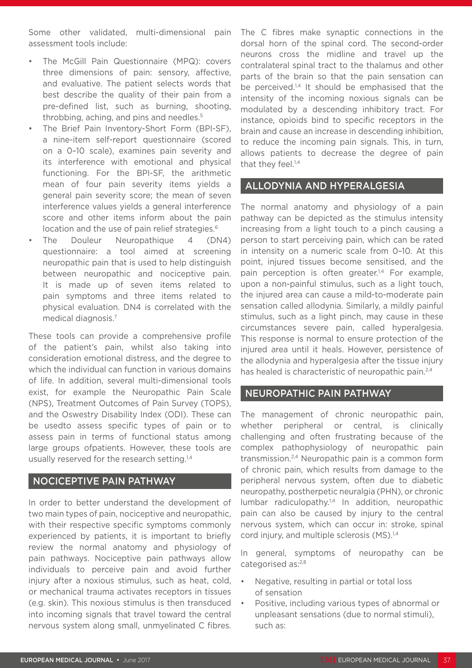Some other validated, multi-dimensional pain assessment tools include:

- The McGill Pain Questionnaire (MPQ): covers three dimensions of pain: sensory, affective, and evaluative. The patient selects words that best describe the quality of their pain from a pre-defined list, such as burning, shooting, throbbing, aching, and pins and needles.<sup>5</sup>
- The Brief Pain Inventory-Short Form (BPI-SF), a nine-item self-report questionnaire (scored on a 0–10 scale), examines pain severity and its interference with emotional and physical functioning. For the BPI-SF, the arithmetic mean of four pain severity items yields a general pain severity score; the mean of seven interference values yields a general interference score and other items inform about the pain location and the use of pain relief strategies.<sup>6</sup>
- The Douleur Neuropathique 4 (DN4) questionnaire: a tool aimed at screening neuropathic pain that is used to help distinguish between neuropathic and nociceptive pain. It is made up of seven items related to pain symptoms and three items related to physical evaluation. DN4 is correlated with the medical diagnosis.7

These tools can provide a comprehensive profile of the patient's pain, whilst also taking into consideration emotional distress, and the degree to which the individual can function in various domains of life. In addition, several multi-dimensional tools exist, for example the Neuropathic Pain Scale (NPS), Treatment Outcomes of Pain Survey (TOPS), and the Oswestry Disability Index (ODI). These can be usedto assess specific types of pain or to assess pain in terms of functional status among large groups ofpatients. However, these tools are usually reserved for the research setting.<sup>1,4</sup>

### NOCICEPTIVE PAIN PATHWAY

In order to better understand the development of two main types of pain, nociceptive and neuropathic, with their respective specific symptoms commonly experienced by patients, it is important to briefly review the normal anatomy and physiology of pain pathways. Nociceptive pain pathways allow individuals to perceive pain and avoid further injury after a noxious stimulus, such as heat, cold. or mechanical trauma activates receptors in tissues (e.g. skin). This noxious stimulus is then transduced into incoming signals that travel toward the central nervous system along small, unmyelinated C fibres.

The C fibres make synaptic connections in the dorsal horn of the spinal cord. The second-order neurons cross the midline and travel up the contralateral spinal tract to the thalamus and other parts of the brain so that the pain sensation can be perceived.<sup>1,4</sup> It should be emphasised that the intensity of the incoming noxious signals can be modulated by a descending inhibitory tract. For instance, opioids bind to specific receptors in the brain and cause an increase in descending inhibition, to reduce the incoming pain signals. This, in turn, allows patients to decrease the degree of pain that they feel.<sup>1,4</sup>

#### ALLODYNIA AND HYPERALGESIA

The normal anatomy and physiology of a pain pathway can be depicted as the stimulus intensity increasing from a light touch to a pinch causing a person to start perceiving pain, which can be rated in intensity on a numeric scale from 0–10. At this point, injured tissues become sensitised, and the pain perception is often greater.<sup>1,4</sup> For example, upon a non-painful stimulus, such as a light touch, the injured area can cause a mild-to-moderate pain sensation called allodynia. Similarly, a mildly painful stimulus, such as a light pinch, may cause in these circumstances severe pain, called hyperalgesia. This response is normal to ensure protection of the injured area until it heals. However, persistence of the allodynia and hyperalgesia after the tissue injury has healed is characteristic of neuropathic pain.<sup>2,4</sup>

#### NEUROPATHIC PAIN PATHWAY

The management of chronic neuropathic pain, whether peripheral or central, is clinically challenging and often frustrating because of the complex pathophysiology of neuropathic pain transmission.2,4 Neuropathic pain is a common form of chronic pain, which results from damage to the peripheral nervous system, often due to diabetic neuropathy, postherpetic neuralgia (PHN), or chronic lumbar radiculopathy.1,4 In addition, neuropathic pain can also be caused by injury to the central nervous system, which can occur in: stroke, spinal cord injury, and multiple sclerosis (MS).<sup>1,4</sup>

In general, symptoms of neuropathy can be categorised as:<sup>2,8</sup>

- Negative, resulting in partial or total loss of sensation
- Positive, including various types of abnormal or unpleasant sensations (due to normal stimuli), such as: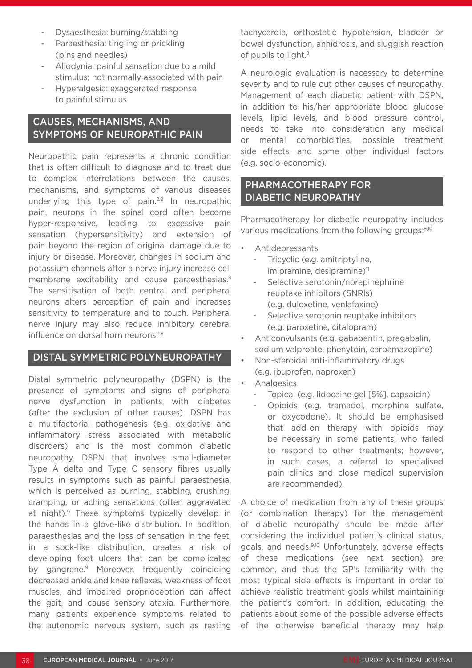- Dysaesthesia: burning/stabbing
- Paraesthesia: tingling or prickling (pins and needles)
- Allodynia: painful sensation due to a mild stimulus; not normally associated with pain
- Hyperalgesia: exaggerated response to painful stimulus

## CAUSES, MECHANISMS, AND SYMPTOMS OF NEUROPATHIC PAIN

Neuropathic pain represents a chronic condition that is often difficult to diagnose and to treat due to complex interrelations between the causes, mechanisms, and symptoms of various diseases underlying this type of pain.<sup>2,8</sup> In neuropathic pain, neurons in the spinal cord often become hyper-responsive, leading to excessive pain sensation (hypersensitivity) and extension of pain beyond the region of original damage due to injury or disease. Moreover, changes in sodium and potassium channels after a nerve injury increase cell membrane excitability and cause paraesthesias.<sup>8</sup> The sensitisation of both central and peripheral neurons alters perception of pain and increases sensitivity to temperature and to touch. Peripheral nerve injury may also reduce inhibitory cerebral influence on dorsal horn neurons.<sup>1,8</sup>

### DISTAL SYMMETRIC POLYNEUROPATHY

Distal symmetric polyneuropathy (DSPN) is the presence of symptoms and signs of peripheral nerve dysfunction in patients with diabetes (after the exclusion of other causes). DSPN has a multifactorial pathogenesis (e.g. oxidative and inflammatory stress associated with metabolic disorders) and is the most common diabetic neuropathy. DSPN that involves small-diameter Type A delta and Type C sensory fibres usually results in symptoms such as painful paraesthesia, which is perceived as burning, stabbing, crushing, cramping, or aching sensations (often aggravated at night).<sup>9</sup> These symptoms typically develop in the hands in a glove-like distribution. In addition, paraesthesias and the loss of sensation in the feet, in a sock-like distribution, creates a risk of developing foot ulcers that can be complicated by gangrene.<sup>9</sup> Moreover, frequently coinciding decreased ankle and knee reflexes, weakness of foot muscles, and impaired proprioception can affect the gait, and cause sensory ataxia. Furthermore, many patients experience symptoms related to the autonomic nervous system, such as resting

tachycardia, orthostatic hypotension, bladder or bowel dysfunction, anhidrosis, and sluggish reaction of pupils to light.<sup>9</sup>

A neurologic evaluation is necessary to determine severity and to rule out other causes of neuropathy. Management of each diabetic patient with DSPN, in addition to his/her appropriate blood glucose levels, lipid levels, and blood pressure control, needs to take into consideration any medical or mental comorbidities, possible treatment side effects, and some other individual factors (e.g. socio-economic).

# PHARMACOTHERAPY FOR DIABETIC NEUROPATHY

Pharmacotherapy for diabetic neuropathy includes various medications from the following groups: 9,10

- Antidepressants
	- Tricyclic (e.g. amitriptyline,  $imipramine, designramine)<sup>11</sup>$
	- Selective serotonin/norepinephrine reuptake inhibitors (SNRIs) (e.g. duloxetine, venlafaxine)
	- Selective serotonin reuptake inhibitors (e.g. paroxetine, citalopram)
- Anticonvulsants (e.g. gabapentin, pregabalin, sodium valproate, phenytoin, carbamazepine)
- Non-steroidal anti-inflammatory drugs (e.g. ibuprofen, naproxen)
- **Analgesics** 
	- Topical (e.g. lidocaine gel [5%], capsaicin)
	- Opioids (e.g. tramadol, morphine sulfate, or oxycodone). It should be emphasised that add-on therapy with opioids may be necessary in some patients, who failed to respond to other treatments; however, in such cases, a referral to specialised pain clinics and close medical supervision are recommended).

A choice of medication from any of these groups (or combination therapy) for the management of diabetic neuropathy should be made after considering the individual patient's clinical status, goals, and needs.9,10 Unfortunately, adverse effects of these medications (see next section) are common, and thus the GP's familiarity with the most typical side effects is important in order to achieve realistic treatment goals whilst maintaining the patient's comfort. In addition, educating the patients about some of the possible adverse effects of the otherwise beneficial therapy may help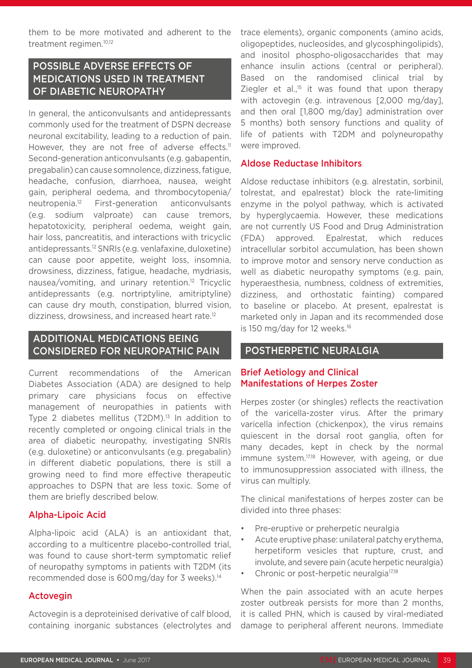them to be more motivated and adherent to the treatment regimen.10,12

# POSSIBLE ADVERSE EFFECTS OF MEDICATIONS USED IN TREATMENT OF DIABETIC NEUROPATHY

In general, the anticonvulsants and antidepressants commonly used for the treatment of DSPN decrease neuronal excitability, leading to a reduction of pain. However, they are not free of adverse effects.<sup>11</sup> Second-generation anticonvulsants (e.g. gabapentin, pregabalin) can cause somnolence, dizziness, fatigue, headache, confusion, diarrhoea, nausea, weight gain, peripheral oedema, and thrombocytopenia/ neutropenia.12 First-generation anticonvulsants (e.g. sodium valproate) can cause tremors, hepatotoxicity, peripheral oedema, weight gain, hair loss, pancreatitis, and interactions with tricyclic antidepressants.12 SNRIs (e.g. venlafaxine, duloxetine) can cause poor appetite, weight loss, insomnia, drowsiness, dizziness, fatigue, headache, mydriasis, nausea/vomiting, and urinary retention.12 Tricyclic antidepressants (e.g. nortriptyline, amitriptyline) can cause dry mouth, constipation, blurred vision, dizziness, drowsiness, and increased heart rate.<sup>12</sup>

# ADDITIONAL MEDICATIONS BEING CONSIDERED FOR NEUROPATHIC PAIN

Current recommendations of the American Diabetes Association (ADA) are designed to help primary care physicians focus on effective management of neuropathies in patients with Type 2 diabetes mellitus (T2DM).<sup>13</sup> In addition to recently completed or ongoing clinical trials in the area of diabetic neuropathy, investigating SNRIs (e.g. duloxetine) or anticonvulsants (e.g. pregabalin) in different diabetic populations, there is still a growing need to find more effective therapeutic approaches to DSPN that are less toxic. Some of them are briefly described below.

### Alpha-Lipoic Acid

Alpha-lipoic acid (ALA) is an antioxidant that, according to a multicentre placebo-controlled trial, was found to cause short-term symptomatic relief of neuropathy symptoms in patients with T2DM (its recommended dose is 600 mg/day for 3 weeks).14

### Actovegin

Actovegin is a deproteinised derivative of calf blood, containing inorganic substances (electrolytes and trace elements), organic components (amino acids, oligopeptides, nucleosides, and glycosphingolipids), and inositol phospho-oligosaccharides that may enhance insulin actions (central or peripheral). Based on the randomised clinical trial by Ziegler et al., $15$  it was found that upon therapy with actovegin (e.g. intravenous [2,000 mg/day], and then oral [1,800 mg/day] administration over 5 months) both sensory functions and quality of life of patients with T2DM and polyneuropathy were improved.

#### Aldose Reductase Inhibitors

Aldose reductase inhibitors (e.g. alrestatin, sorbinil, tolrestat, and epalrestat) block the rate-limiting enzyme in the polyol pathway, which is activated by hyperglycaemia. However, these medications are not currently US Food and Drug Administration (FDA) approved. Epalrestat, which reduces intracellular sorbitol accumulation, has been shown to improve motor and sensory nerve conduction as well as diabetic neuropathy symptoms (e.g. pain, hyperaesthesia, numbness, coldness of extremities, dizziness, and orthostatic fainting) compared to baseline or placebo. At present, epalrestat is marketed only in Japan and its recommended dose is 150 mg/day for 12 weeks.<sup>16</sup>

### POSTHERPETIC NEURALGIA

#### Brief Aetiology and Clinical Manifestations of Herpes Zoster

Herpes zoster (or shingles) reflects the reactivation of the varicella-zoster virus. After the primary varicella infection (chickenpox), the virus remains quiescent in the dorsal root ganglia, often for many decades, kept in check by the normal immune system.<sup>17,18</sup> However, with ageing, or due to immunosuppression associated with illness, the virus can multiply.

The clinical manifestations of herpes zoster can be divided into three phases:

- Pre-eruptive or preherpetic neuralgia
- Acute eruptive phase: unilateral patchy erythema, herpetiform vesicles that rupture, crust, and involute, and severe pain (acute herpetic neuralgia)
- Chronic or post-herpetic neuralgia<sup>17,18</sup>

When the pain associated with an acute herpes zoster outbreak persists for more than 2 months, it is called PHN, which is caused by viral-mediated damage to peripheral afferent neurons. Immediate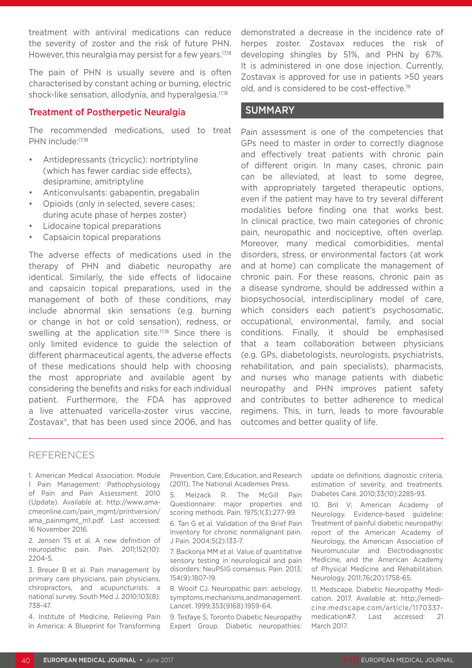treatment with antiviral medications can reduce the severity of zoster and the risk of future PHN. However, this neuralgia may persist for a few years.<sup>17,18</sup>

The pain of PHN is usually severe and is often characterised by constant aching or burning, electric shock-like sensation, allodynia, and hyperalgesia.<sup>17,18</sup>

#### Treatment of Postherpetic Neuralgia

The recommended medications, used to treat PHN include:<sup>17,18</sup>

- Antidepressants (tricyclic): nortriptyline (which has fewer cardiac side effects), desipramine, amitriptyline
- Anticonvulsants: gabapentin, pregabalin
- Opioids (only in selected, severe cases; during acute phase of herpes zoster)
- Lidocaine topical preparations
- Capsaicin topical preparations

The adverse effects of medications used in the therapy of PHN and diabetic neuropathy are identical. Similarly, the side effects of lidocaine and capsaicin topical preparations, used in the management of both of these conditions, may include abnormal skin sensations (e.g. burning or change in hot or cold sensation), redness, or swelling at the application site.<sup>17,18</sup> Since there is only limited evidence to guide the selection of different pharmaceutical agents, the adverse effects of these medications should help with choosing the most appropriate and available agent by considering the benefits and risks for each individual patient. Furthermore, the FDA has approved a live attenuated varicella-zoster virus vaccine, Zostavax®, that has been used since 2006, and has

demonstrated a decrease in the incidence rate of herpes zoster. Zostavax reduces the risk of developing shingles by 51%, and PHN by 67%. It is administered in one dose injection. Currently, Zostavax is approved for use in patients >50 years old, and is considered to be cost-effective.19

#### SUMMARY

Pain assessment is one of the competencies that GPs need to master in order to correctly diagnose and effectively treat patients with chronic pain of different origin. In many cases, chronic pain can be alleviated, at least to some degree, with appropriately targeted therapeutic options, even if the patient may have to try several different modalities before finding one that works best. In clinical practice, two main categories of chronic pain, neuropathic and nociceptive, often overlap. Moreover, many medical comorbidities, mental disorders, stress, or environmental factors (at work and at home) can complicate the management of chronic pain. For these reasons, chronic pain as a disease syndrome, should be addressed within a biopsychosocial, interdisciplinary model of care, which considers each patient's psychosomatic, occupational, environmental, family, and social conditions. Finally, it should be emphasised that a team collaboration between physicians (e.g. GPs, diabetologists, neurologists, psychiatrists, rehabilitation, and pain specialists), pharmacists, and nurses who manage patients with diabetic neuropathy and PHN improves patient safety and contributes to better adherence to medical regimens. This, in turn, leads to more favourable outcomes and better quality of life.

#### REFERENCES

1. American Medical Association. Module 1 Pain Management: Pathophysiology of Pain and Pain Assessment. 2010 (Update). Available at: http://www.amacmeonline.com/pain\_mgmt/printversion/ ama\_painmgmt\_m1.pdf. Last accessed: 16 November 2016.

2. Jensen TS et al. A new definition of neuropathic pain. Pain. 2011;152(10): 2204-5.

3. Breuer B et al. Pain management by primary care physicians, pain physicians, chiropractors, and acupuncturists: a national survey. South Med J. 2010;103(8): 738-47.

4. Institute of Medicine, Relieving Pain in America: A Blueprint for Transforming

Prevention, Care, Education, and Research (2011), The National Academies Press.

5. Melzack R. The McGill Pain Questionnaire: major properties and scoring methods. Pain. 1975;1(3):277-99.

6. Tan G et al. Validation of the Brief Pain Inventory for chronic nonmalignant pain. J Pain. 2004;5(2):133-7.

7. Backonja MM et al. Value of quantitative sensory testing in neurological and pain disorders: NeuPSIG consensus. Pain. 2013; 154(9):1807-19.

8. Woolf CJ. Neuropathic pain: aetiology, symptoms, mechanisms, and management. Lancet. 1999;353(9168):1959-64.

9. Tesfaye S; Toronto Diabetic Neuropathy Expert Group. Diabetic neuropathies: update on definitions, diagnostic criteria, estimation of severity, and treatments. Diabetes Care. 2010;33(10):2285-93.

10. Bril V; American Academy of Neurology. Evidence-based guideline: Treatment of painful diabetic neuropathy: report of the American Academy of Neurology, the American Association of Neuromuscular and Electrodiagnostic Medicine, and the American Academy of Physical Medicine and Rehabilitation. Neurology. 2011;76(20):1758-65.

11. Medscape. Diabetic Neuropathy Medication. 2017. Available at: http://emedicine.medscape.com/article/1170337 medication#7. Last accessed: 21 March 2017.